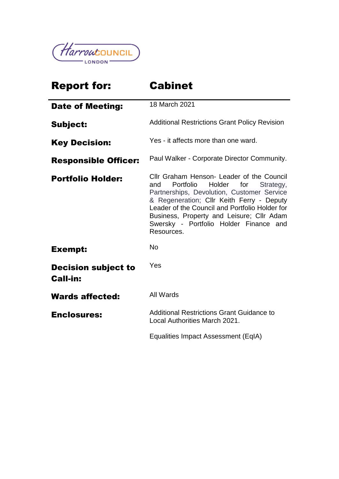

| <b>Report for:</b>                            | <b>Cabinet</b>                                                                                                                                                                                                                                                                                                                                |  |  |
|-----------------------------------------------|-----------------------------------------------------------------------------------------------------------------------------------------------------------------------------------------------------------------------------------------------------------------------------------------------------------------------------------------------|--|--|
| <b>Date of Meeting:</b>                       | 18 March 2021                                                                                                                                                                                                                                                                                                                                 |  |  |
| <b>Subject:</b>                               | <b>Additional Restrictions Grant Policy Revision</b>                                                                                                                                                                                                                                                                                          |  |  |
| <b>Key Decision:</b>                          | Yes - it affects more than one ward.                                                                                                                                                                                                                                                                                                          |  |  |
| <b>Responsible Officer:</b>                   | Paul Walker - Corporate Director Community.                                                                                                                                                                                                                                                                                                   |  |  |
| <b>Portfolio Holder:</b>                      | Cllr Graham Henson- Leader of the Council<br>Portfolio<br>Holder<br>for<br>and<br>Strategy,<br>Partnerships, Devolution, Customer Service<br>& Regeneration; Cllr Keith Ferry - Deputy<br>Leader of the Council and Portfolio Holder for<br>Business, Property and Leisure; Cllr Adam<br>Swersky - Portfolio Holder Finance and<br>Resources. |  |  |
| <b>Exempt:</b>                                | <b>No</b>                                                                                                                                                                                                                                                                                                                                     |  |  |
| <b>Decision subject to</b><br><b>Call-in:</b> | Yes                                                                                                                                                                                                                                                                                                                                           |  |  |
| <b>Wards affected:</b>                        | All Wards                                                                                                                                                                                                                                                                                                                                     |  |  |
| <b>Enclosures:</b>                            | <b>Additional Restrictions Grant Guidance to</b><br>Local Authorities March 2021.                                                                                                                                                                                                                                                             |  |  |
|                                               | Equalities Impact Assessment (EqIA)                                                                                                                                                                                                                                                                                                           |  |  |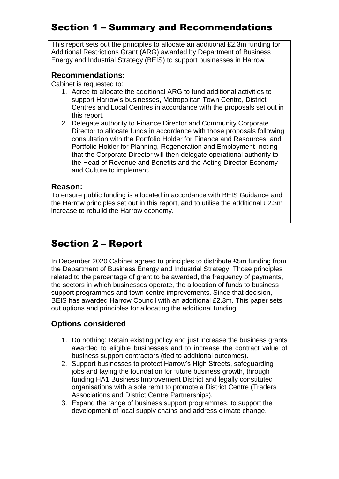# Section 1 – Summary and Recommendations

This report sets out the principles to allocate an additional £2.3m funding for Additional Restrictions Grant (ARG) awarded by Department of Business Energy and Industrial Strategy (BEIS) to support businesses in Harrow

#### **Recommendations:**

Cabinet is requested to:

- 1. Agree to allocate the additional ARG to fund additional activities to support Harrow's businesses, Metropolitan Town Centre, District Centres and Local Centres in accordance with the proposals set out in this report.
- 2. Delegate authority to Finance Director and Community Corporate Director to allocate funds in accordance with those proposals following consultation with the Portfolio Holder for Finance and Resources, and Portfolio Holder for Planning, Regeneration and Employment, noting that the Corporate Director will then delegate operational authority to the Head of Revenue and Benefits and the Acting Director Economy and Culture to implement.

#### **Reason:**

To ensure public funding is allocated in accordance with BEIS Guidance and the Harrow principles set out in this report, and to utilise the additional £2.3m increase to rebuild the Harrow economy.

# Section 2 – Report

In December 2020 Cabinet agreed to principles to distribute £5m funding from the Department of Business Energy and Industrial Strategy. Those principles related to the percentage of grant to be awarded, the frequency of payments, the sectors in which businesses operate, the allocation of funds to business support programmes and town centre improvements. Since that decision, BEIS has awarded Harrow Council with an additional £2.3m. This paper sets out options and principles for allocating the additional funding.

#### **Options considered**

- 1. Do nothing: Retain existing policy and just increase the business grants awarded to eligible businesses and to increase the contract value of business support contractors (tied to additional outcomes).
- 2. Support businesses to protect Harrow's High Streets, safeguarding jobs and laying the foundation for future business growth, through funding HA1 Business Improvement District and legally constituted organisations with a sole remit to promote a District Centre (Traders Associations and District Centre Partnerships).
- 3. Expand the range of business support programmes, to support the development of local supply chains and address climate change.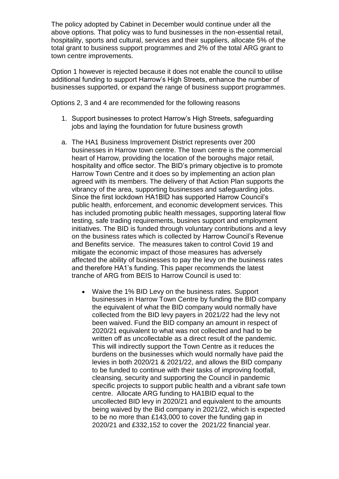The policy adopted by Cabinet in December would continue under all the above options. That policy was to fund businesses in the non-essential retail, hospitality, sports and cultural, services and their suppliers, allocate 5% of the total grant to business support programmes and 2% of the total ARG grant to town centre improvements.

Option 1 however is rejected because it does not enable the council to utilise additional funding to support Harrow's High Streets, enhance the number of businesses supported, or expand the range of business support programmes.

Options 2, 3 and 4 are recommended for the following reasons

- 1. Support businesses to protect Harrow's High Streets, safeguarding jobs and laying the foundation for future business growth
- a. The HA1 Business Improvement District represents over 200 businesses in Harrow town centre. The town centre is the commercial heart of Harrow, providing the location of the boroughs major retail, hospitality and office sector. The BID's primary objective is to promote Harrow Town Centre and it does so by implementing an action plan agreed with its members. The delivery of that Action Plan supports the vibrancy of the area, supporting businesses and safeguarding jobs. Since the first lockdown HA1BID has supported Harrow Council's public health, enforcement, and economic development services. This has included promoting public health messages, supporting lateral flow testing, safe trading requirements, busines support and employment initiatives. The BID is funded through voluntary contributions and a levy on the business rates which is collected by Harrow Council's Revenue and Benefits service. The measures taken to control Covid 19 and mitigate the economic impact of those measures has adversely affected the ability of businesses to pay the levy on the business rates and therefore HA1's funding. This paper recommends the latest tranche of ARG from BEIS to Harrow Council is used to:
	- Waive the 1% BID Levy on the business rates. Support businesses in Harrow Town Centre by funding the BID company the equivalent of what the BID company would normally have collected from the BID levy payers in 2021/22 had the levy not been waived. Fund the BID company an amount in respect of 2020/21 equivalent to what was not collected and had to be written off as uncollectable as a direct result of the pandemic. This will indirectly support the Town Centre as it reduces the burdens on the businesses which would normally have paid the levies in both 2020/21 & 2021/22, and allows the BID company to be funded to continue with their tasks of improving footfall, cleansing, security and supporting the Council in pandemic specific projects to support public health and a vibrant safe town centre. Allocate ARG funding to HA1BID equal to the uncollected BID levy in 2020/21 and equivalent to the amounts being waived by the Bid company in 2021/22, which is expected to be no more than £143,000 to cover the funding gap in 2020/21 and £332,152 to cover the 2021/22 financial year.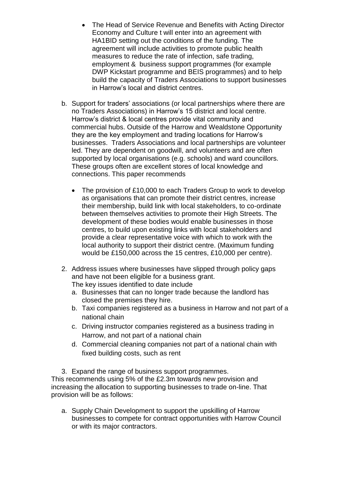- The Head of Service Revenue and Benefits with Acting Director Economy and Culture t will enter into an agreement with HA1BID setting out the conditions of the funding. The agreement will include activities to promote public health measures to reduce the rate of infection, safe trading, employment & business support programmes (for example DWP Kickstart programme and BEIS programmes) and to help build the capacity of Traders Associations to support businesses in Harrow's local and district centres.
- b. Support for traders' associations (or local partnerships where there are no Traders Associations) in Harrow's 15 district and local centre. Harrow's district & local centres provide vital community and commercial hubs. Outside of the Harrow and Wealdstone Opportunity they are the key employment and trading locations for Harrow's businesses. Traders Associations and local partnerships are volunteer led. They are dependent on goodwill, and volunteers and are often supported by local organisations (e.g. schools) and ward councillors. These groups often are excellent stores of local knowledge and connections. This paper recommends
	- The provision of £10,000 to each Traders Group to work to develop as organisations that can promote their district centres, increase their membership, build link with local stakeholders, to co-ordinate between themselves activities to promote their High Streets. The development of these bodies would enable businesses in those centres, to build upon existing links with local stakeholders and provide a clear representative voice with which to work with the local authority to support their district centre. (Maximum funding would be £150,000 across the 15 centres, £10,000 per centre).
- 2. Address issues where businesses have slipped through policy gaps and have not been eligible for a business grant. The key issues identified to date include
	- a. Businesses that can no longer trade because the landlord has closed the premises they hire.
	- b. Taxi companies registered as a business in Harrow and not part of a national chain
	- c. Driving instructor companies registered as a business trading in Harrow, and not part of a national chain
	- d. Commercial cleaning companies not part of a national chain with fixed building costs, such as rent

3. Expand the range of business support programmes. This recommends using 5% of the £2.3m towards new provision and increasing the allocation to supporting businesses to trade on-line. That provision will be as follows:

a. Supply Chain Development to support the upskilling of Harrow businesses to compete for contract opportunities with Harrow Council or with its major contractors.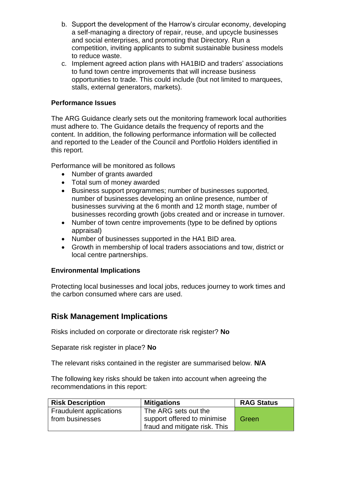- b. Support the development of the Harrow's circular economy, developing a self-managing a directory of repair, reuse, and upcycle businesses and social enterprises, and promoting that Directory. Run a competition, inviting applicants to submit sustainable business models to reduce waste.
- c. Implement agreed action plans with HA1BID and traders' associations to fund town centre improvements that will increase business opportunities to trade. This could include (but not limited to marquees, stalls, external generators, markets).

#### **Performance Issues**

The ARG Guidance clearly sets out the monitoring framework local authorities must adhere to. The Guidance details the frequency of reports and the content. In addition, the following performance information will be collected and reported to the Leader of the Council and Portfolio Holders identified in this report.

Performance will be monitored as follows

- Number of grants awarded
- Total sum of money awarded
- Business support programmes; number of businesses supported, number of businesses developing an online presence, number of businesses surviving at the 6 month and 12 month stage, number of businesses recording growth (jobs created and or increase in turnover.
- Number of town centre improvements (type to be defined by options appraisal)
- Number of businesses supported in the HA1 BID area.
- Growth in membership of local traders associations and tow, district or local centre partnerships.

#### **Environmental Implications**

Protecting local businesses and local jobs, reduces journey to work times and the carbon consumed where cars are used.

#### **Risk Management Implications**

Risks included on corporate or directorate risk register? **No**

Separate risk register in place? **No**

The relevant risks contained in the register are summarised below. **N/A**

The following key risks should be taken into account when agreeing the recommendations in this report:

| <b>Risk Description</b>        | <b>Mitigations</b>                         | <b>RAG Status</b> |
|--------------------------------|--------------------------------------------|-------------------|
| <b>Fraudulent applications</b> | The ARG sets out the                       |                   |
| from businesses                | support offered to minimise                | Green             |
|                                | <sup>1</sup> fraud and mitigate risk. This |                   |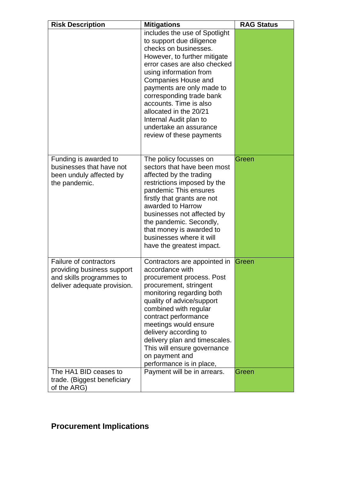| <b>Risk Description</b>                                                                                         | <b>Mitigations</b>                                                                                                                                                                                                                                                                                                                                                                                      | <b>RAG Status</b> |
|-----------------------------------------------------------------------------------------------------------------|---------------------------------------------------------------------------------------------------------------------------------------------------------------------------------------------------------------------------------------------------------------------------------------------------------------------------------------------------------------------------------------------------------|-------------------|
|                                                                                                                 | includes the use of Spotlight<br>to support due diligence<br>checks on businesses.<br>However, to further mitigate<br>error cases are also checked<br>using information from<br><b>Companies House and</b><br>payments are only made to<br>corresponding trade bank<br>accounts. Time is also<br>allocated in the 20/21<br>Internal Audit plan to<br>undertake an assurance<br>review of these payments |                   |
| Funding is awarded to<br>businesses that have not<br>been unduly affected by<br>the pandemic.                   | The policy focusses on<br>sectors that have been most<br>affected by the trading<br>restrictions imposed by the<br>pandemic This ensures<br>firstly that grants are not<br>awarded to Harrow<br>businesses not affected by<br>the pandemic. Secondly,<br>that money is awarded to<br>businesses where it will<br>have the greatest impact.                                                              | Green             |
| Failure of contractors<br>providing business support<br>and skills programmes to<br>deliver adequate provision. | Contractors are appointed in<br>accordance with<br>procurement process. Post<br>procurement, stringent<br>monitoring regarding both<br>quality of advice/support<br>combined with regular<br>contract performance<br>meetings would ensure<br>delivery according to<br>delivery plan and timescales.<br>This will ensure governance<br>on payment and<br>performance is in place,                       | Green             |
| The HA1 BID ceases to<br>trade. (Biggest beneficiary<br>of the ARG)                                             | Payment will be in arrears.                                                                                                                                                                                                                                                                                                                                                                             | Green             |

# **Procurement Implications**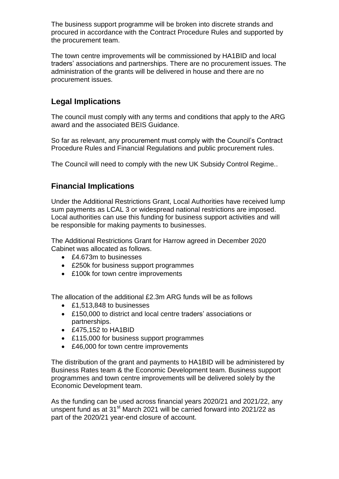The business support programme will be broken into discrete strands and procured in accordance with the Contract Procedure Rules and supported by the procurement team.

The town centre improvements will be commissioned by HA1BID and local traders' associations and partnerships. There are no procurement issues. The administration of the grants will be delivered in house and there are no procurement issues.

### **Legal Implications**

The council must comply with any terms and conditions that apply to the ARG award and the associated BEIS Guidance.

So far as relevant, any procurement must comply with the Council's Contract Procedure Rules and Financial Regulations and public procurement rules.

The Council will need to comply with the new UK Subsidy Control Regime..

### **Financial Implications**

Under the Additional Restrictions Grant, Local Authorities have received lump sum payments as LCAL 3 or widespread national restrictions are imposed. Local authorities can use this funding for business support activities and will be responsible for making payments to businesses.

The Additional Restrictions Grant for Harrow agreed in December 2020 Cabinet was allocated as follows.

- £4.673m to businesses
- £250k for business support programmes
- £100k for town centre improvements

The allocation of the additional £2.3m ARG funds will be as follows

- £1,513,848 to businesses
- £150,000 to district and local centre traders' associations or partnerships.
- £475,152 to HA1BID
- £115,000 for business support programmes
- £46,000 for town centre improvements

The distribution of the grant and payments to HA1BID will be administered by Business Rates team & the Economic Development team. Business support programmes and town centre improvements will be delivered solely by the Economic Development team.

As the funding can be used across financial years 2020/21 and 2021/22, any unspent fund as at  $31<sup>st</sup>$  March 2021 will be carried forward into 2021/22 as part of the 2020/21 year-end closure of account.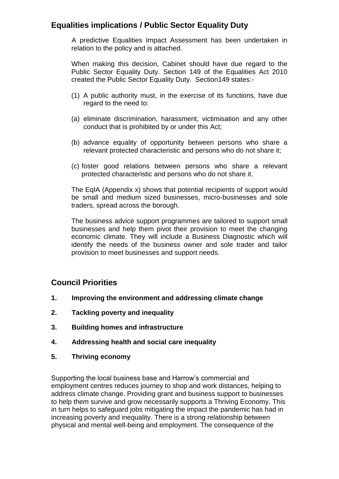#### **Equalities implications / Public Sector Equality Duty**

A predictive Equalities Impact Assessment has been undertaken in relation to the policy and is attached.

When making this decision, Cabinet should have due regard to the Public Sector Equality Duty. Section 149 of the Equalities Act 2010 created the Public Sector Equality Duty. Section149 states:-

- (1) A public authority must, in the exercise of its functions, have due regard to the need to:
- (a) eliminate discrimination, harassment, victimisation and any other conduct that is prohibited by or under this Act;
- (b) advance equality of opportunity between persons who share a relevant protected characteristic and persons who do not share it;
- (c) foster good relations between persons who share a relevant protected characteristic and persons who do not share it.

The EqIA (Appendix x) shows that potential recipients of support would be small and medium sized businesses, micro-businesses and sole traders, spread across the borough.

The business advice support programmes are tailored to support small businesses and help them pivot their provision to meet the changing economic climate. They will include a Business Diagnostic which will identify the needs of the business owner and sole trader and tailor provision to meet businesses and support needs.

#### **Council Priorities**

- **1. Improving the environment and addressing climate change**
- **2. Tackling poverty and inequality**
- **3. Building homes and infrastructure**
- **4. Addressing health and social care inequality**
- **5. Thriving economy**

Supporting the local business base and Harrow's commercial and employment centres reduces journey to shop and work distances, helping to address climate change. Providing grant and business support to businesses to help them survive and grow necessarily supports a Thriving Economy. This in turn helps to safeguard jobs mitigating the impact the pandemic has had in increasing poverty and inequality. There is a strong relationship between physical and mental well-being and employment. The consequence of the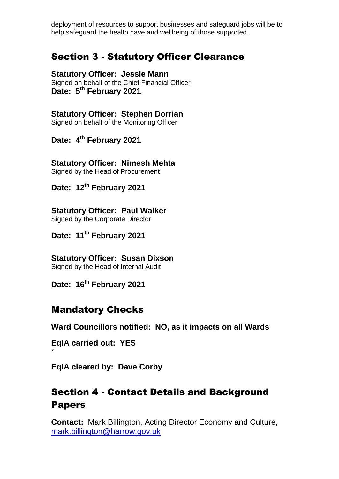deployment of resources to support businesses and safeguard jobs will be to help safeguard the health have and wellbeing of those supported.

## Section 3 - Statutory Officer Clearance

**Statutory Officer: Jessie Mann** Signed on behalf of the Chief Financial Officer **Date: 5 th February 2021**

**Statutory Officer: Stephen Dorrian**

Signed on behalf of the Monitoring Officer

**Date: 4 th February 2021**

**Statutory Officer: Nimesh Mehta** Signed by the Head of Procurement

**Date: 12th February 2021**

**Statutory Officer: Paul Walker** Signed by the Corporate Director

**Date: 11th February 2021**

**Statutory Officer: Susan Dixson**  Signed by the Head of Internal Audit

**Date: 16th February 2021**

### Mandatory Checks

**Ward Councillors notified: NO, as it impacts on all Wards** 

**EqIA carried out: YES**

*\** 

**EqIA cleared by: Dave Corby**

# Section 4 - Contact Details and Background Papers

**Contact:** Mark Billington, Acting Director Economy and Culture, [mark.billington@harrow.gov.uk](mailto:mark.billington@harrow.gov.uk)